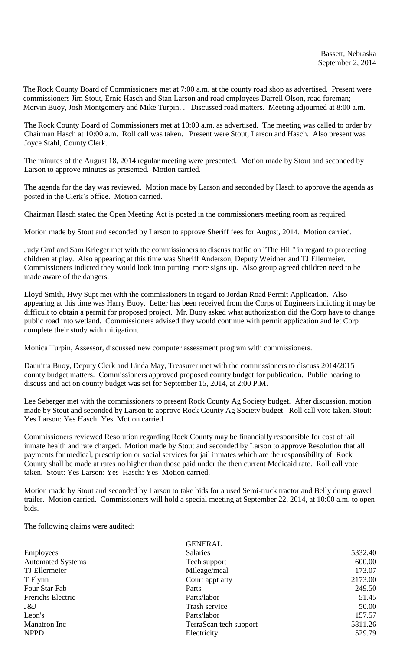The Rock County Board of Commissioners met at 7:00 a.m. at the county road shop as advertised. Present were commissioners Jim Stout, Ernie Hasch and Stan Larson and road employees Darrell Olson, road foreman; Mervin Buoy, Josh Montgomery and Mike Turpin. . Discussed road matters. Meeting adjourned at 8:00 a.m.

The Rock County Board of Commissioners met at 10:00 a.m. as advertised. The meeting was called to order by Chairman Hasch at 10:00 a.m. Roll call was taken. Present were Stout, Larson and Hasch. Also present was Joyce Stahl, County Clerk.

The minutes of the August 18, 2014 regular meeting were presented. Motion made by Stout and seconded by Larson to approve minutes as presented. Motion carried.

The agenda for the day was reviewed. Motion made by Larson and seconded by Hasch to approve the agenda as posted in the Clerk's office. Motion carried.

Chairman Hasch stated the Open Meeting Act is posted in the commissioners meeting room as required.

Motion made by Stout and seconded by Larson to approve Sheriff fees for August, 2014. Motion carried.

Judy Graf and Sam Krieger met with the commissioners to discuss traffic on "The Hill" in regard to protecting children at play. Also appearing at this time was Sheriff Anderson, Deputy Weidner and TJ Ellermeier. Commissioners indicted they would look into putting more signs up. Also group agreed children need to be made aware of the dangers.

Lloyd Smith, Hwy Supt met with the commissioners in regard to Jordan Road Permit Application. Also appearing at this time was Harry Buoy. Letter has been received from the Corps of Engineers indicting it may be difficult to obtain a permit for proposed project. Mr. Buoy asked what authorization did the Corp have to change public road into wetland. Commissioners advised they would continue with permit application and let Corp complete their study with mitigation.

Monica Turpin, Assessor, discussed new computer assessment program with commissioners.

Daunitta Buoy, Deputy Clerk and Linda May, Treasurer met with the commissioners to discuss 2014/2015 county budget matters. Commissioners approved proposed county budget for publication. Public hearing to discuss and act on county budget was set for September 15, 2014, at 2:00 P.M.

Lee Seberger met with the commissioners to present Rock County Ag Society budget. After discussion, motion made by Stout and seconded by Larson to approve Rock County Ag Society budget. Roll call vote taken. Stout: Yes Larson: Yes Hasch: Yes Motion carried.

Commissioners reviewed Resolution regarding Rock County may be financially responsible for cost of jail inmate health and rate charged. Motion made by Stout and seconded by Larson to approve Resolution that all payments for medical, prescription or social services for jail inmates which are the responsibility of Rock County shall be made at rates no higher than those paid under the then current Medicaid rate. Roll call vote taken. Stout: Yes Larson: Yes Hasch: Yes Motion carried.

Motion made by Stout and seconded by Larson to take bids for a used Semi-truck tractor and Belly dump gravel trailer. Motion carried. Commissioners will hold a special meeting at September 22, 2014, at 10:00 a.m. to open bids.

The following claims were audited:

| <b>GENERAL</b>         |         |
|------------------------|---------|
| <b>Salaries</b>        | 5332.40 |
| Tech support           | 600.00  |
| Mileage/meal           | 173.07  |
| Court appt atty        | 2173.00 |
| Parts                  | 249.50  |
| Parts/labor            | 51.45   |
| Trash service          | 50.00   |
| Parts/labor            | 157.57  |
| TerraScan tech support | 5811.26 |
| Electricity            | 529.79  |
|                        |         |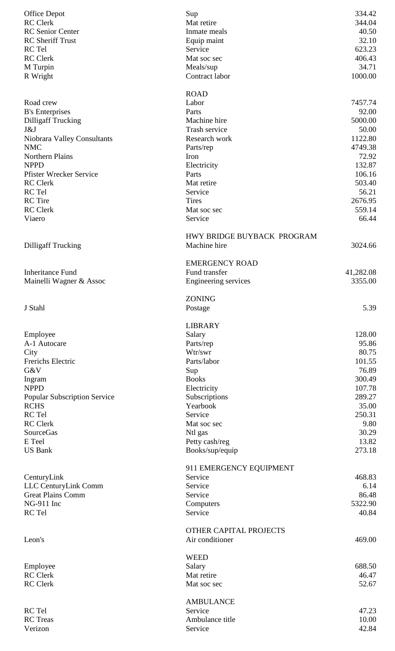| <b>Office Depot</b>                               | Sup                                       | 334.42           |
|---------------------------------------------------|-------------------------------------------|------------------|
| <b>RC</b> Clerk                                   | Mat retire                                | 344.04           |
| <b>RC</b> Senior Center                           | Inmate meals                              | 40.50            |
| <b>RC</b> Sheriff Trust                           | Equip maint                               | 32.10            |
| RC Tel                                            | Service                                   | 623.23           |
| <b>RC</b> Clerk                                   | Mat soc sec                               | 406.43           |
| M Turpin                                          | Meals/sup                                 | 34.71            |
| R Wright                                          | Contract labor                            | 1000.00          |
|                                                   | <b>ROAD</b>                               |                  |
| Road crew                                         | Labor                                     | 7457.74          |
| <b>B's Enterprises</b>                            | Parts                                     | 92.00            |
| <b>Dilligaff Trucking</b>                         | Machine hire                              | 5000.00          |
| J&J                                               | Trash service                             | 50.00            |
| Niobrara Valley Consultants                       | Research work                             | 1122.80          |
| <b>NMC</b>                                        | Parts/rep                                 | 4749.38          |
| <b>Northern Plains</b>                            | Iron                                      | 72.92            |
| <b>NPPD</b>                                       | Electricity                               | 132.87           |
| <b>Pfister Wrecker Service</b><br><b>RC</b> Clerk | Parts<br>Mat retire                       | 106.16<br>503.40 |
| RC Tel                                            | Service                                   | 56.21            |
| <b>RC</b> Tire                                    | <b>Tires</b>                              | 2676.95          |
| <b>RC</b> Clerk                                   | Mat soc sec                               | 559.14           |
| Viaero                                            | Service                                   | 66.44            |
|                                                   |                                           |                  |
|                                                   | HWY BRIDGE BUYBACK PROGRAM                |                  |
| <b>Dilligaff Trucking</b>                         | Machine hire                              | 3024.66          |
|                                                   | <b>EMERGENCY ROAD</b>                     |                  |
| <b>Inheritance Fund</b>                           | Fund transfer                             | 41,282.08        |
| Mainelli Wagner & Assoc                           | Engineering services                      | 3355.00          |
|                                                   |                                           |                  |
|                                                   | <b>ZONING</b>                             |                  |
| J Stahl                                           | Postage                                   | 5.39             |
|                                                   | <b>LIBRARY</b>                            |                  |
| Employee                                          | Salary                                    | 128.00           |
| A-1 Autocare                                      | Parts/rep                                 | 95.86            |
| City                                              | Wtr/swr                                   | 80.75            |
| Frerichs Electric                                 | Parts/labor                               | 101.55           |
| G&V                                               | Sup                                       | 76.89            |
| Ingram                                            | <b>Books</b>                              | 300.49           |
| <b>NPPD</b>                                       | Electricity                               | 107.78           |
| <b>Popular Subscription Service</b>               | Subscriptions                             | 289.27           |
| <b>RCHS</b>                                       | Yearbook                                  | 35.00            |
| RC Tel                                            | Service                                   | 250.31           |
| <b>RC</b> Clerk                                   | Mat soc sec                               | 9.80             |
| SourceGas                                         | Ntl gas                                   | 30.29            |
| E Teel                                            | Petty cash/reg                            | 13.82            |
| <b>US Bank</b>                                    | Books/sup/equip                           | 273.18           |
|                                                   | 911 EMERGENCY EQUIPMENT                   |                  |
| CenturyLink                                       | Service                                   | 468.83           |
| LLC CenturyLink Comm                              | Service                                   | 6.14             |
| <b>Great Plains Comm</b>                          | Service                                   | 86.48            |
| NG-911 Inc                                        | Computers                                 | 5322.90          |
| RC Tel                                            | Service                                   | 40.84            |
|                                                   |                                           |                  |
| Leon's                                            | OTHER CAPITAL PROJECTS<br>Air conditioner | 469.00           |
|                                                   |                                           |                  |
|                                                   | <b>WEED</b>                               |                  |
| Employee                                          | Salary                                    | 688.50           |
| <b>RC</b> Clerk                                   | Mat retire                                | 46.47            |
| <b>RC</b> Clerk                                   | Mat soc sec                               | 52.67            |
|                                                   |                                           |                  |
| RC Tel                                            | <b>AMBULANCE</b><br>Service               | 47.23            |
| <b>RC</b> Treas                                   | Ambulance title                           | 10.00            |
| Verizon                                           | Service                                   | 42.84            |
|                                                   |                                           |                  |